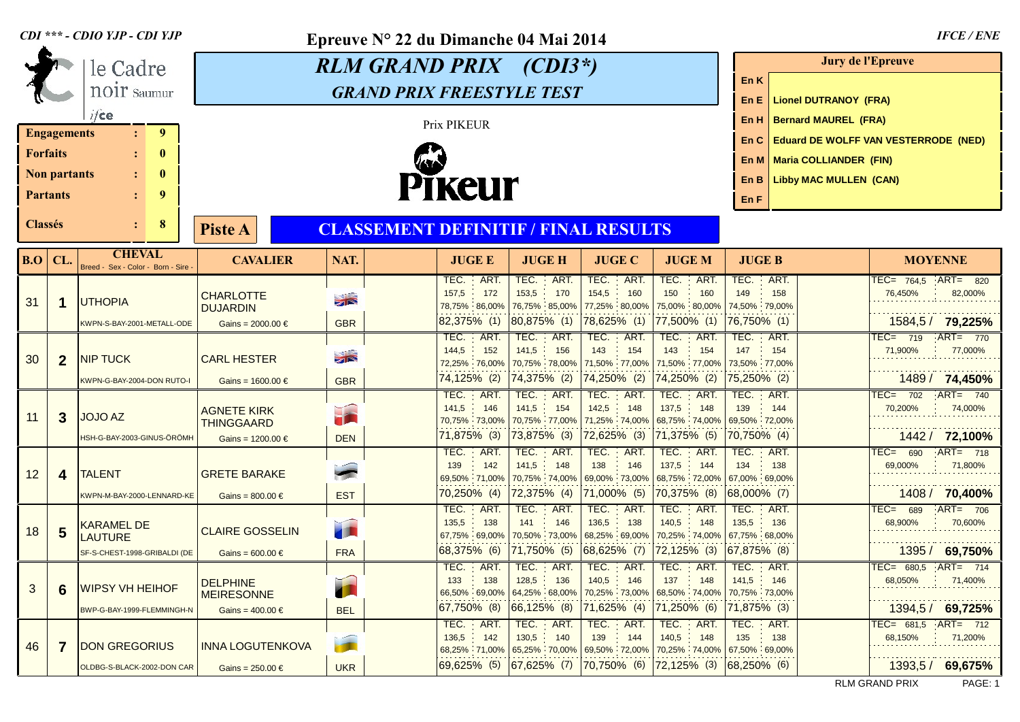|                                                                                      |                     | CDI *** - CDIO YJP - CDI YJP                       |                                           | Epreuve N 22 du Dimanche 04 Mai 2014 | <b>IFCE/ENE</b>                                                             |                              |                                                             |                                                           |                                  |                                                    |  |
|--------------------------------------------------------------------------------------|---------------------|----------------------------------------------------|-------------------------------------------|--------------------------------------|-----------------------------------------------------------------------------|------------------------------|-------------------------------------------------------------|-----------------------------------------------------------|----------------------------------|----------------------------------------------------|--|
|                                                                                      |                     | le Cadre                                           |                                           | <b>RLM GRAND PRIX</b> (CDI3*)        | Jury de l'Epreuve                                                           |                              |                                                             |                                                           |                                  |                                                    |  |
|                                                                                      |                     | <b>NOIT</b> Saumur                                 |                                           | <b>GRAND PRIX FREESTYLE TEST</b>     | En K                                                                        |                              |                                                             |                                                           |                                  |                                                    |  |
|                                                                                      |                     | ifce                                               |                                           |                                      | <b>Lionel DUTRANOY (FRA)</b><br>En E<br><b>Bernard MAUREL (FRA)</b><br>En H |                              |                                                             |                                                           |                                  |                                                    |  |
|                                                                                      | <b>Engagements</b>  | 9 <sup>°</sup><br>$\mathbf{L}$                     |                                           | Prix PIKEUR                          | <b>Eduard DE WOLFF VAN VESTERRODE (NED)</b><br>En C                         |                              |                                                             |                                                           |                                  |                                                    |  |
| <b>Forfaits</b>                                                                      |                     | $\bf{0}$                                           |                                           |                                      | En M   Maria COLLIANDER (FIN)                                               |                              |                                                             |                                                           |                                  |                                                    |  |
|                                                                                      | <b>Non partants</b> | $\bf{0}$                                           |                                           |                                      | <b>Libby MAC MULLEN (CAN)</b><br>En B                                       |                              |                                                             |                                                           |                                  |                                                    |  |
|                                                                                      | <b>Partants</b>     | 9                                                  |                                           | <b>Pikeur</b>                        | En F                                                                        |                              |                                                             |                                                           |                                  |                                                    |  |
| 8<br><b>Classés</b><br><b>CLASSEMENT DEFINITIF / FINAL RESULTS</b><br><b>Piste A</b> |                     |                                                    |                                           |                                      |                                                                             |                              |                                                             |                                                           |                                  |                                                    |  |
| <b>B.O</b>                                                                           | CL.                 | <b>CHEVAL</b><br>Breed - Sex - Color - Born - Sire | <b>CAVALIER</b>                           | NAT.                                 | <b>JUGE E</b>                                                               | <b>JUGE H</b>                | <b>JUGE C</b>                                               | <b>JUGEM</b>                                              | <b>JUGE B</b>                    | <b>MOYENNE</b>                                     |  |
| 31                                                                                   |                     |                                                    |                                           |                                      | TEC.<br>ART.<br>157,5<br>172                                                | TEC.<br>ART.<br>153,5<br>170 | TEC.<br>ART.<br>154,5<br>160                                | TEC.<br>ART.<br>150<br>160                                | TEC.<br>ART.<br>149<br>158       | $TEC = 764.5$<br>$ART = 820$<br>76,450%<br>82,000% |  |
|                                                                                      | -1                  | <b>UTHOPIA</b>                                     | <b>CHARLOTTE</b><br><b>DUJARDIN</b>       | $\frac{1}{\sqrt{2}}$                 | 78,75% 86,00%                                                               | 76,75% 85,00%                | 77,25% 80,00%                                               | 75,00% 80,00%                                             | 74,50% 79,00%                    |                                                    |  |
|                                                                                      |                     | KWPN-S-BAY-2001-METALL-ODE                         | Gains = 2000.00 $\in$                     | <b>GBR</b>                           | $ 82,375\%$ (1)                                                             | 80,875% (1)                  | 78,625% (1)                                                 | (1) 77,500%                                               | 76,750% (1)                      | 1584,5 / 79,225%                                   |  |
|                                                                                      | $\mathbf{2}$        |                                                    |                                           |                                      | ART.<br>TEC.<br>144,5<br>152                                                | TEC. ART.<br>141,5<br>156    | $ART$ .<br>TEC.<br>143<br>154                               | TEC.<br>ART.<br>143<br>154                                | TEC.<br>ART.<br>147<br>154       | $TEC = 719$<br>$ART = 770$<br>71,900%<br>77,000%   |  |
| 30                                                                                   |                     | <b>NIP TUCK</b>                                    | <b>CARL HESTER</b>                        | $\sqrt{2}$                           | 72,25% 76,00%                                                               | 70,75% 78,00%                | 71,50% 77,00%                                               | 71,50% 77,00%                                             | 73,50% 77,00%                    |                                                    |  |
|                                                                                      |                     | KWPN-G-BAY-2004-DON RUTO-I                         | Gains = $1600.00 \in$                     | <b>GBR</b>                           | $74,125\%$ (2)<br>TEC.<br>$ART$ .                                           | 74,375% (2)<br>TEC. ART.     | 74,250% (2)<br>TEC.<br>$ART$ .                              | 74,250% (2)<br>TEC.<br>ART.                               | 75,250% (2)<br>TEC.<br>ART.      | 1489 / 74,450%<br>$TEC = 702$<br>$ART = 740$       |  |
|                                                                                      | $\mathbf{3}$        |                                                    | <b>AGNETE KIRK</b><br><b>THINGGAARD</b>   | F                                    | 141,5<br>146                                                                | 141,5<br>154                 | 142,5<br>148                                                | 137,5<br>148                                              | 139<br>144                       | 70,200%<br>74,000%                                 |  |
| 11                                                                                   |                     | JOJO AZ                                            |                                           |                                      | 70,75% 73,00%                                                               | 70,75% 77,00%                | 71,25% 74,00%                                               | 68,75% 74,00% 69,50% 72,00%                               |                                  |                                                    |  |
|                                                                                      |                     | HSH-G-BAY-2003-GINUS-ÖRÖMH                         | Gains = $1200.00 \in$                     | <b>DEN</b>                           | 71,875% (3)<br>TEC.<br>ART.                                                 | 73,875% (3)<br>TEC. ART.     | $ 72,625\%$ (3)<br>TEC.<br>ART.                             | $ 71,375\%$ (5)<br>TEC.<br>ART.                           | (4) 70,750%<br>TEC.<br>ART.      | 1442 / 72,100%<br>$TEC = 690$<br>$ART = 718$       |  |
| 12                                                                                   | 4                   | <b>TALENT</b>                                      | <b>GRETE BARAKE</b>                       | <b>FREE</b>                          | 139<br>142                                                                  | 141,5<br>148                 | 138<br>146                                                  | 137,5<br>144                                              | 134<br>138                       | 69,000%<br>71,800%                                 |  |
|                                                                                      |                     |                                                    |                                           |                                      | 69,50% 71,00%<br>$ 70,250\%$ (4)                                            | 70,75% 74,00%<br>72,375% (4) | 69,00% 73,00%<br>71,000% (5)                                | 68,75% 72,00%<br>70,375% (8)                              | 67,00% 69,00%<br>$ 68,000\%$ (7) | 1408 / 70,400%                                     |  |
|                                                                                      |                     | KWPN-M-BAY-2000-LENNARD-KE                         | Gains = $800.00 \in$                      | <b>EST</b>                           | TEC. ART.                                                                   | TEC. ART.                    | TEC. ART.                                                   | TEC.<br>ART.                                              | TEC. ART.                        | $ART = 706$<br>$TEC = 689$                         |  |
| 18                                                                                   | 5                   | <b>KARAMEL DE</b>                                  | <b>CLAIRE GOSSELIN</b>                    | T                                    | 135,5<br>138                                                                | 141<br>146                   | 136,5<br>138                                                | 140,5<br>148                                              | 135,5<br>136                     | 68,900%<br>70,600%                                 |  |
|                                                                                      |                     | <b>LAUTURE</b><br>SF-S-CHEST-1998-GRIBALDI (DE     | Gains = $600.00 \in$                      | <b>FRA</b>                           | 67,75% 69,00%<br>68,375% (6)                                                | 71,750% (5)                  | 70,50% 73,00% 68,25% 69,00%<br>$ 68,625\%$ (7)              | 70,25% 74,00% 67,75% 68,00%<br>$ 72,125\%$ (3)            | $ 67,875\%$ (8)                  | 1395 / 69,750%                                     |  |
|                                                                                      |                     |                                                    |                                           |                                      |                                                                             |                              | TEC. ART. TEC. ART. TEC. ART. TEC. ART. TEC. ART. TEC. ART. |                                                           |                                  | TEC= 680,5 ART= 714                                |  |
| $\mathbf{3}$                                                                         | 6                   | <b>WIPSY VH HEIHOF</b>                             | <b>DELPHINE</b>                           |                                      | 133<br>138<br>66,50% 69,00%                                                 | 128,5 136<br>64,25% 68,00%   | 140,5<br>146<br>70,25% 73,00%                               | 137<br>148<br>68,50% 74,00% 70,75% 73,00%                 | 141,5 146                        | 68,050%<br>71,400%                                 |  |
|                                                                                      |                     | BWP-G-BAY-1999-FLEMMINGH-N                         | <b>MEIRESONNE</b><br>Gains = $400.00 \in$ | <b>BEL</b>                           | $ 67,750\%$ (8)                                                             | $ 66,125\%$ (8)              | 71,625% (4)                                                 | $ 71,250\%$ (6)                                           | (3) 71,875%                      | 1394,5 / 69,725%                                   |  |
|                                                                                      |                     |                                                    |                                           |                                      | TEC. ART.                                                                   | TEC. ART.                    | TEC.<br>$ART$ .                                             | TEC. ART.                                                 | TEC.<br>ART.                     | TEC= 681,5 ART= 712                                |  |
| 46                                                                                   | 7                   | <b>DON GREGORIUS</b>                               | <b>INNA LOGUTENKOVA</b>                   |                                      | 136,5<br>142<br>68,25% 71,00%                                               | 130,5 140<br>65,25% 70,00%   | 139<br>144                                                  | 140,5<br>148<br>69,50% 72,00% 70,25% 74,00% 67,50% 69,00% | 135<br>138                       | 68,150%<br>71,200%                                 |  |
|                                                                                      |                     | OLDBG-S-BLACK-2002-DON CAR                         | Gains = $250.00 \in$                      | <b>UKR</b>                           | 69,625% (5)                                                                 | 67,625% (7)                  | 70,750% (6)                                                 | $ 72,125\%$ (3)                                           | $ 68,250\%$ (6)                  | 1393,5 / 69,675%                                   |  |